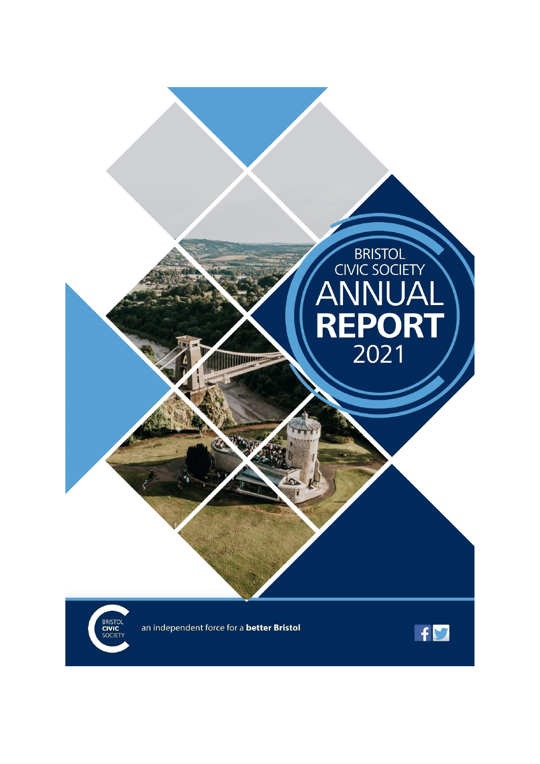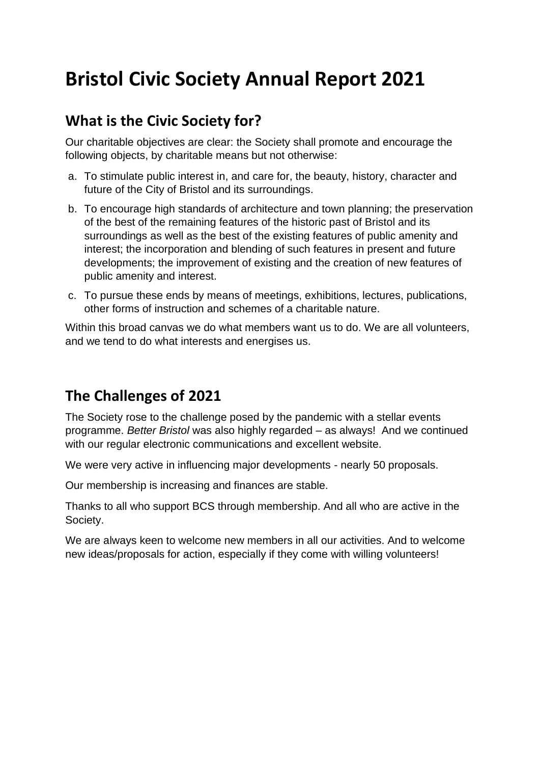# **Bristol Civic Society Annual Report 2021**

#### **What is the Civic Society for?**

Our charitable objectives are clear: the Society shall promote and encourage the following objects, by charitable means but not otherwise:

- a. To stimulate public interest in, and care for, the beauty, history, character and future of the City of Bristol and its surroundings.
- b. To encourage high standards of architecture and town planning; the preservation of the best of the remaining features of the historic past of Bristol and its surroundings as well as the best of the existing features of public amenity and interest; the incorporation and blending of such features in present and future developments; the improvement of existing and the creation of new features of public amenity and interest.
- c. To pursue these ends by means of meetings, exhibitions, lectures, publications, other forms of instruction and schemes of a charitable nature.

Within this broad canvas we do what members want us to do. We are all volunteers, and we tend to do what interests and energises us.

### **The Challenges of 2021**

The Society rose to the challenge posed by the pandemic with a stellar events programme. *Better Bristol* was also highly regarded – as always! And we continued with our regular electronic communications and excellent website.

We were very active in influencing major developments - nearly 50 proposals.

Our membership is increasing and finances are stable.

Thanks to all who support BCS through membership. And all who are active in the Society.

We are always keen to welcome new members in all our activities. And to welcome new ideas/proposals for action, especially if they come with willing volunteers!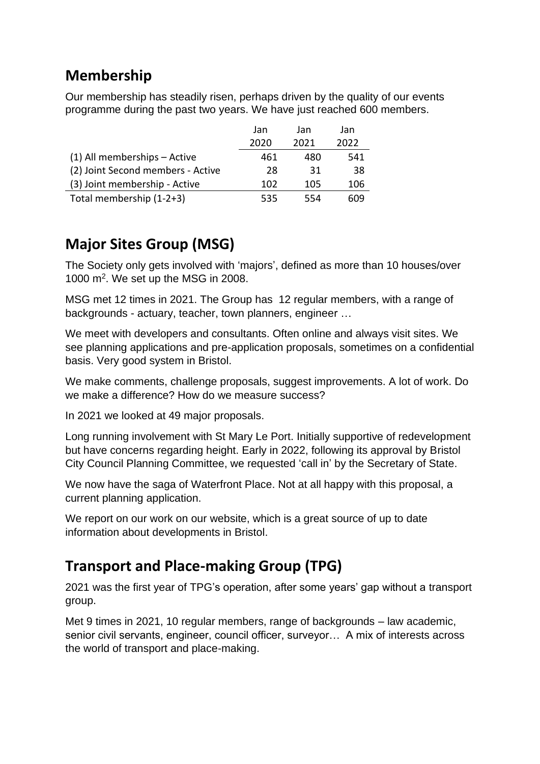## **Membership**

Our membership has steadily risen, perhaps driven by the quality of our events programme during the past two years. We have just reached 600 members.

|                                   | Jan  | Jan  | Jan  |
|-----------------------------------|------|------|------|
|                                   | 2020 | 2021 | 2022 |
| (1) All memberships - Active      | 461  | 480  | 541  |
| (2) Joint Second members - Active | 28   | 31   | 38   |
| (3) Joint membership - Active     | 102  | 105  | 106  |
| Total membership (1-2+3)          | 535  | 554  | 609  |

## **Major Sites Group (MSG)**

The Society only gets involved with 'majors', defined as more than 10 houses/over 1000 m<sup>2</sup>. We set up the MSG in 2008.

MSG met 12 times in 2021. The Group has 12 regular members, with a range of backgrounds - actuary, teacher, town planners, engineer …

We meet with developers and consultants. Often online and always visit sites. We see planning applications and pre-application proposals, sometimes on a confidential basis. Very good system in Bristol.

We make comments, challenge proposals, suggest improvements. A lot of work. Do we make a difference? How do we measure success?

In 2021 we looked at 49 major proposals.

Long running involvement with St Mary Le Port. Initially supportive of redevelopment but have concerns regarding height. Early in 2022, following its approval by Bristol City Council Planning Committee, we requested 'call in' by the Secretary of State.

We now have the saga of Waterfront Place. Not at all happy with this proposal, a current planning application.

We report on our work on our website, which is a great source of up to date information about developments in Bristol.

### **Transport and Place-making Group (TPG)**

2021 was the first year of TPG's operation, after some years' gap without a transport group.

Met 9 times in 2021, 10 regular members, range of backgrounds – law academic, senior civil servants, engineer, council officer, surveyor… A mix of interests across the world of transport and place-making.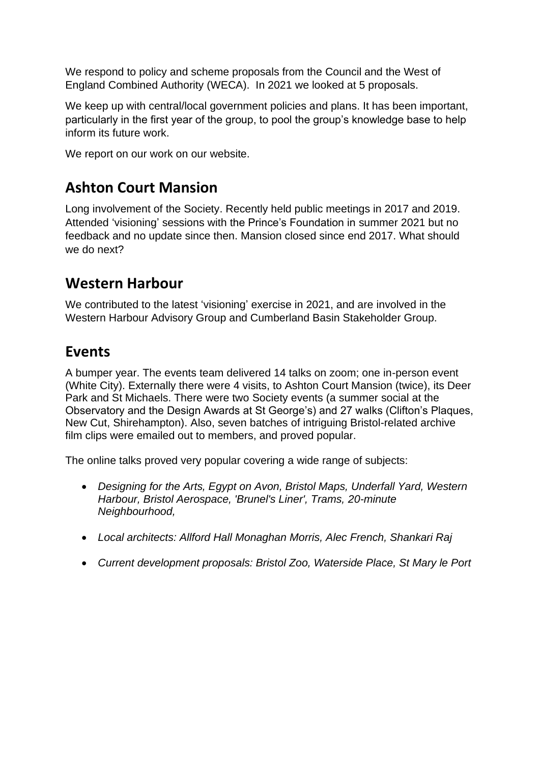We respond to policy and scheme proposals from the Council and the West of England Combined Authority (WECA). In 2021 we looked at 5 proposals.

We keep up with central/local government policies and plans. It has been important, particularly in the first year of the group, to pool the group's knowledge base to help inform its future work.

We report on our work on our website.

### **Ashton Court Mansion**

Long involvement of the Society. Recently held public meetings in 2017 and 2019. Attended 'visioning' sessions with the Prince's Foundation in summer 2021 but no feedback and no update since then. Mansion closed since end 2017. What should we do next?

### **Western Harbour**

We contributed to the latest 'visioning' exercise in 2021, and are involved in the Western Harbour Advisory Group and Cumberland Basin Stakeholder Group.

#### **Events**

A bumper year. The events team delivered 14 talks on zoom; one in-person event (White City). Externally there were 4 visits, to Ashton Court Mansion (twice), its Deer Park and St Michaels. There were two Society events (a summer social at the Observatory and the Design Awards at St George's) and 27 walks (Clifton's Plaques, New Cut, Shirehampton). Also, seven batches of intriguing Bristol-related archive film clips were emailed out to members, and proved popular.

The online talks proved very popular covering a wide range of subjects:

- *Designing for the Arts, Egypt on Avon, Bristol Maps, Underfall Yard, Western Harbour, Bristol Aerospace, 'Brunel's Liner', Trams, 20-minute Neighbourhood,*
- *Local architects: Allford Hall Monaghan Morris, Alec French, Shankari Raj*
- *Current development proposals: Bristol Zoo, Waterside Place, St Mary le Port*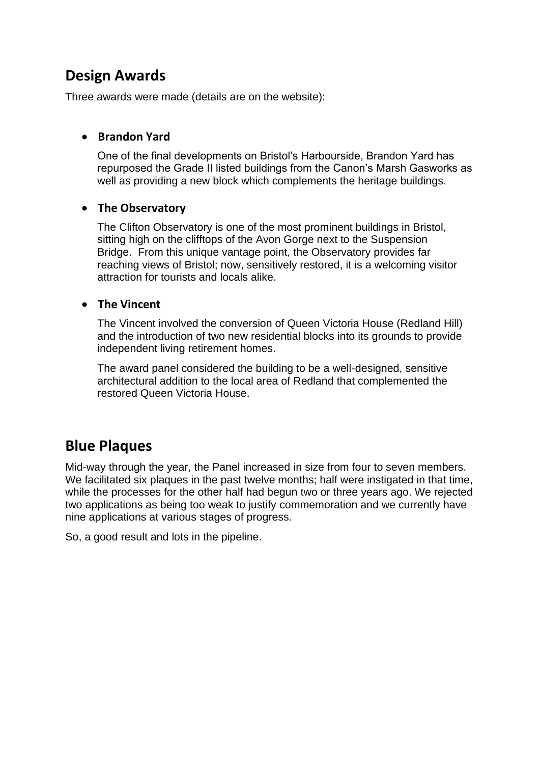#### **Design Awards**

Three awards were made (details are on the website):

#### • **Brandon Yard**

One of the final developments on Bristol's Harbourside, Brandon Yard has repurposed the Grade II listed buildings from the Canon's Marsh Gasworks as well as providing a new block which complements the heritage buildings.

#### • **The Observatory**

The Clifton Observatory is one of the most prominent buildings in Bristol, sitting high on the clifftops of the Avon Gorge next to the Suspension Bridge. From this unique vantage point, the Observatory provides far reaching views of Bristol; now, sensitively restored, it is a welcoming visitor attraction for tourists and locals alike.

#### • **The Vincent**

The Vincent involved the conversion of Queen Victoria House (Redland Hill) and the introduction of two new residential blocks into its grounds to provide independent living retirement homes.

The award panel considered the building to be a well-designed, sensitive architectural addition to the local area of Redland that complemented the restored Queen Victoria House.

### **Blue Plaques**

Mid-way through the year, the Panel increased in size from four to seven members. We facilitated six plaques in the past twelve months; half were instigated in that time, while the processes for the other half had begun two or three years ago. We rejected two applications as being too weak to justify commemoration and we currently have nine applications at various stages of progress.

So, a good result and lots in the pipeline.